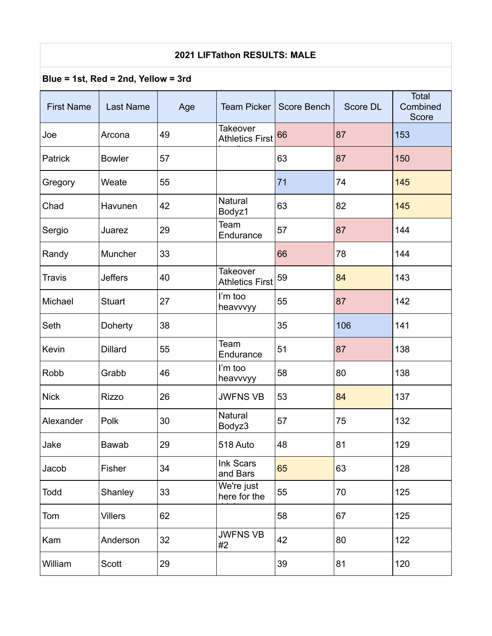## **2021 LIFTathon RESULTS: MALE**

## **Blue = 1st, Red = 2nd, Yellow = 3rd**

| <b>First Name</b> | <b>Last Name</b> | Age | <b>Team Picker</b>                        | <b>Score Bench</b> | Score DL | <b>Total</b><br>Combined<br>Score |
|-------------------|------------------|-----|-------------------------------------------|--------------------|----------|-----------------------------------|
| Joe               | Arcona           | 49  | <b>Takeover</b><br><b>Athletics First</b> | 66                 | 87       | 153                               |
| Patrick           | <b>Bowler</b>    | 57  |                                           | 63                 | 87       | 150                               |
| Gregory           | Weate            | 55  |                                           | 71                 | 74       | 145                               |
| Chad              | Havunen          | 42  | <b>Natural</b><br>Bodyz1                  | 63                 | 82       | 145                               |
| Sergio            | Juarez           | 29  | Team<br>Endurance                         | 57                 | 87       | 144                               |
| Randy             | Muncher          | 33  |                                           | 66                 | 78       | 144                               |
| <b>Travis</b>     | <b>Jeffers</b>   | 40  | <b>Takeover</b><br><b>Athletics First</b> | 59                 | 84       | 143                               |
| Michael           | <b>Stuart</b>    | 27  | I'm too<br>heavvvyy                       | 55                 | 87       | 142                               |
| Seth              | Doherty          | 38  |                                           | 35                 | 106      | 141                               |
| Kevin             | <b>Dillard</b>   | 55  | Team<br>Endurance                         | 51                 | 87       | 138                               |
| Robb              | Grabb            | 46  | I'm too<br>heavvvyy                       | 58                 | 80       | 138                               |
| <b>Nick</b>       | <b>Rizzo</b>     | 26  | <b>JWFNS VB</b>                           | 53                 | 84       | 137                               |
| Alexander         | Polk             | 30  | Natural<br>Bodyz3                         | 57                 | 75       | 132                               |
| Jake              | Bawab            | 29  | 518 Auto                                  | 48                 | 81       | 129                               |
| Jacob             | Fisher           | 34  | Ink Scars<br>and Bars                     | 65                 | 63       | 128                               |
| Todd              | Shanley          | 33  | We're just<br>here for the                | 55                 | 70       | 125                               |
| Tom               | <b>Villers</b>   | 62  |                                           | 58                 | 67       | 125                               |
| Kam               | Anderson         | 32  | <b>JWFNS VB</b><br>#2                     | 42                 | 80       | 122                               |
| William           | Scott            | 29  |                                           | 39                 | 81       | 120                               |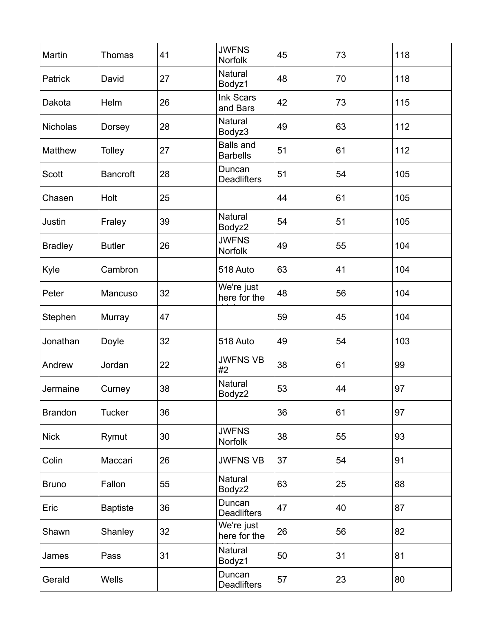| Martin         | Thomas          | 41 | <b>JWFNS</b><br>Norfolk             | 45 | 73 | 118 |
|----------------|-----------------|----|-------------------------------------|----|----|-----|
| Patrick        | David           | 27 | <b>Natural</b><br>Bodyz1            | 48 | 70 | 118 |
| Dakota         | Helm            | 26 | Ink Scars<br>and Bars               | 42 | 73 | 115 |
| Nicholas       | Dorsey          | 28 | <b>Natural</b><br>Bodyz3            | 49 | 63 | 112 |
| <b>Matthew</b> | <b>Tolley</b>   | 27 | <b>Balls and</b><br><b>Barbells</b> | 51 | 61 | 112 |
| Scott          | <b>Bancroft</b> | 28 | Duncan<br><b>Deadlifters</b>        | 51 | 54 | 105 |
| Chasen         | Holt            | 25 |                                     | 44 | 61 | 105 |
| Justin         | Fraley          | 39 | <b>Natural</b><br>Bodyz2            | 54 | 51 | 105 |
| <b>Bradley</b> | <b>Butler</b>   | 26 | <b>JWFNS</b><br>Norfolk             | 49 | 55 | 104 |
| Kyle           | Cambron         |    | 518 Auto                            | 63 | 41 | 104 |
| Peter          | Mancuso         | 32 | We're just<br>here for the          | 48 | 56 | 104 |
| Stephen        | Murray          | 47 |                                     | 59 | 45 | 104 |
| Jonathan       | Doyle           | 32 | 518 Auto                            | 49 | 54 | 103 |
| Andrew         | Jordan          | 22 | <b>JWFNS VB</b><br>#2               | 38 | 61 | 99  |
| Jermaine       | Curney          | 38 | Natural<br>Bodyz2                   | 53 | 44 | 97  |
| <b>Brandon</b> | <b>Tucker</b>   | 36 |                                     | 36 | 61 | 97  |
| <b>Nick</b>    | Rymut           | 30 | <b>JWFNS</b><br>Norfolk             | 38 | 55 | 93  |
| Colin          | Maccari         | 26 | <b>JWFNS VB</b>                     | 37 | 54 | 91  |
| <b>Bruno</b>   | Fallon          | 55 | Natural<br>Bodyz2                   | 63 | 25 | 88  |
| Eric           | <b>Baptiste</b> | 36 | Duncan<br><b>Deadlifters</b>        | 47 | 40 | 87  |
| Shawn          | Shanley         | 32 | We're just<br>here for the          | 26 | 56 | 82  |
| James          | Pass            | 31 | Natural<br>Bodyz1                   | 50 | 31 | 81  |
| Gerald         | Wells           |    | Duncan<br><b>Deadlifters</b>        | 57 | 23 | 80  |